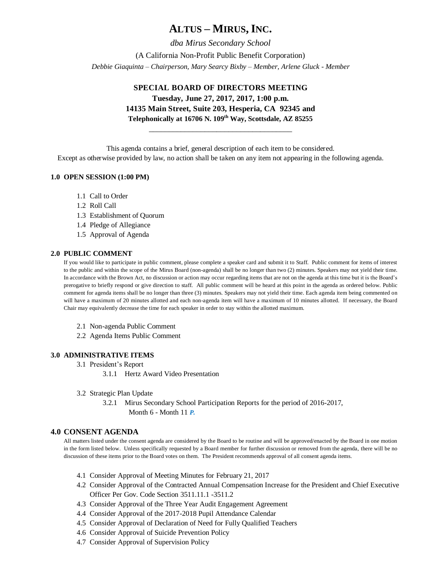# **ALTUS – MIRUS, INC.**

*dba Mirus Secondary School* (A California Non-Profit Public Benefit Corporation) *Debbie Giaquinta – Chairperson, Mary Searcy Bixby – Member, Arlene Gluck - Member*

#### **SPECIAL BOARD OF DIRECTORS MEETING**

**Tuesday, June 27, 2017, 2017, 1:00 p.m. 14135 Main Street, Suite 203, Hesperia, CA 92345 and Telephonically at 16706 N. 109th Way, Scottsdale, AZ 85255**

\_\_\_\_\_\_\_\_\_\_\_\_\_\_\_\_\_\_\_\_\_\_\_\_\_\_\_\_\_\_\_\_\_\_\_\_

This agenda contains a brief, general description of each item to be considered.

Except as otherwise provided by law, no action shall be taken on any item not appearing in the following agenda.

#### **1.0 OPEN SESSION (1:00 PM)**

- 1.1 Call to Order
- 1.2 Roll Call
- 1.3 Establishment of Quorum
- 1.4 Pledge of Allegiance
- 1.5 Approval of Agenda

#### **2.0 PUBLIC COMMENT**

If you would like to participate in public comment, please complete a speaker card and submit it to Staff. Public comment for items of interest to the public and within the scope of the Mirus Board (non-agenda) shall be no longer than two (2) minutes. Speakers may not yield their time. In accordance with the Brown Act, no discussion or action may occur regarding items that are not on the agenda at this time but it is the Board's prerogative to briefly respond or give direction to staff. All public comment will be heard at this point in the agenda as ordered below. Public comment for agenda items shall be no longer than three (3) minutes. Speakers may not yield their time. Each agenda item being commented on will have a maximum of 20 minutes allotted and each non-agenda item will have a maximum of 10 minutes allotted. If necessary, the Board Chair may equivalently decrease the time for each speaker in order to stay within the allotted maximum.

- 2.1 Non-agenda Public Comment
- 2.2 Agenda Items Public Comment

#### **3.0 ADMINISTRATIVE ITEMS**

- 3.1 President's Report
	- 3.1.1 Hertz Award Video Presentation
- 3.2 Strategic Plan Update

3.2.1 Mirus Secondary School Participation Reports for the period of 2016-2017, Month 6 - Month 11 *P.* 

#### **4.0 CONSENT AGENDA**

All matters listed under the consent agenda are considered by the Board to be routine and will be approved/enacted by the Board in one motion in the form listed below. Unless specifically requested by a Board member for further discussion or removed from the agenda, there will be no discussion of these items prior to the Board votes on them. The President recommends approval of all consent agenda items.

- 4.1 Consider Approval of Meeting Minutes for February 21, 2017
- 4.2 Consider Approval of the Contracted Annual Compensation Increase for the President and Chief Executive Officer Per Gov. Code Section 3511.11.1 -3511.2
- 4.3 Consider Approval of the Three Year Audit Engagement Agreement
- 4.4 Consider Approval of the 2017-2018 Pupil Attendance Calendar
- 4.5 Consider Approval of Declaration of Need for Fully Qualified Teachers
- 4.6 Consider Approval of Suicide Prevention Policy
- 4.7 Consider Approval of Supervision Policy